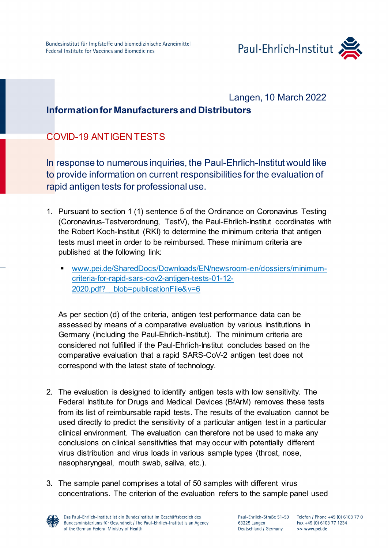

## Langen, 10 March 2022

## **Information for Manufacturers and Distributors**

## COVID-19 ANTIGEN TESTS

In response to numerous inquiries, the Paul-Ehrlich-Institut would like to provide information on current responsibilities for the evaluation of rapid antigen tests for professional use.

- 1. Pursuant to section 1 (1) sentence 5 of the Ordinance on Coronavirus Testing (Coronavirus-Testverordnung, TestV), the Paul-Ehrlich-Institut coordinates with the Robert Koch-Institut (RKI) to determine the minimum criteria that antigen tests must meet in order to be reimbursed. These minimum criteria are published at the following link:
	- [www.pei.de/SharedDocs/Downloads/EN/newsroom-en/dossiers/minimum](https://www.pei.de/SharedDocs/Downloads/EN/newsroom-en/dossiers/minimum-criteria-for-rapid-sars-cov2-antigen-tests-01-12-2020.pdf?__blob=publicationFile&v=6)[criteria-for-rapid-sars-cov2-antigen-tests-01-12-](https://www.pei.de/SharedDocs/Downloads/EN/newsroom-en/dossiers/minimum-criteria-for-rapid-sars-cov2-antigen-tests-01-12-2020.pdf?__blob=publicationFile&v=6) 2020.pdf? blob=publicationFile&v=6

As per section (d) of the criteria, antigen test performance data can be assessed by means of a comparative evaluation by various institutions in Germany (including the Paul-Ehrlich-Institut). The minimum criteria are considered not fulfilled if the Paul-Ehrlich-Institut concludes based on the comparative evaluation that a rapid SARS-CoV-2 antigen test does not correspond with the latest state of technology.

- 2. The evaluation is designed to identify antigen tests with low sensitivity. The Federal Institute for Drugs and Medical Devices (BfArM) removes these tests from its list of reimbursable rapid tests. The results of the evaluation cannot be used directly to predict the sensitivity of a particular antigen test in a particular clinical environment. The evaluation can therefore not be used to make any conclusions on clinical sensitivities that may occur with potentially different virus distribution and virus loads in various sample types (throat, nose, nasopharyngeal, mouth swab, saliva, etc.).
- 3. The sample panel comprises a total of 50 samples with different virus concentrations. The criterion of the evaluation refers to the sample panel used

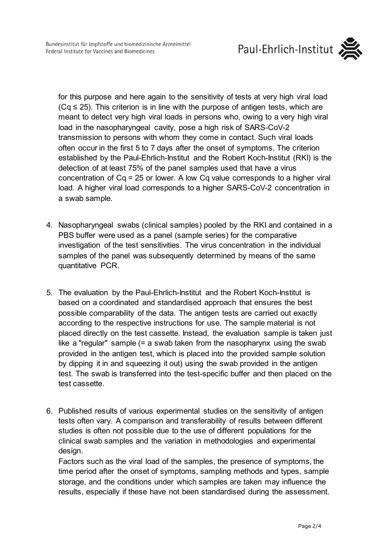

for this purpose and here again to the sensitivity of tests at very high viral load  $(Cq \le 25)$ . This criterion is in line with the purpose of antigen tests, which are meant to detect very high viral loads in persons who, owing to a very high viral load in the nasopharyngeal cavity, pose a high risk of SARS-CoV-2 transmission to persons with whom they come in contact. Such viral loads often occur in the first 5 to 7 days after the onset of symptoms. The criterion established by the Paul-Ehrlich-Institut and the Robert Koch-Institut (RKI) is the detection of at least 75% of the panel samples used that have a virus concentration of Cq = 25 or lower. A low Cq value corresponds to a higher viral load. A higher viral load corresponds to a higher SARS-CoV-2 concentration in a swab sample.

- 4. Nasopharyngeal swabs (clinical samples) pooled by the RKI and contained in a PBS buffer were used as a panel (sample series) for the comparative investigation of the test sensitivities. The virus concentration in the individual samples of the panel was subsequently determined by means of the same quantitative PCR.
- 5. The evaluation by the Paul-Ehrlich-Institut and the Robert Koch-Institut is based on a coordinated and standardised approach that ensures the best possible comparability of the data. The antigen tests are carried out exactly according to the respective instructions for use. The sample material is not placed directly on the test cassette. Instead, the evaluation sample is taken just like a "regular" sample (= a swab taken from the nasopharynx using the swab provided in the antigen test, which is placed into the provided sample solution by dipping it in and squeezing it out) using the swab provided in the antigen test. The swab is transferred into the test-specific buffer and then placed on the test cassette.
- 6. Published results of various experimental studies on the sensitivity of antigen tests often vary. A comparison and transferability of results between different studies is often not possible due to the use of different populations for the clinical swab samples and the variation in methodologies and experimental design.

Factors such as the viral load of the samples, the presence of symptoms, the time period after the onset of symptoms, sampling methods and types, sample storage, and the conditions under which samples are taken may influence the results, especially if these have not been standardised during the assessment.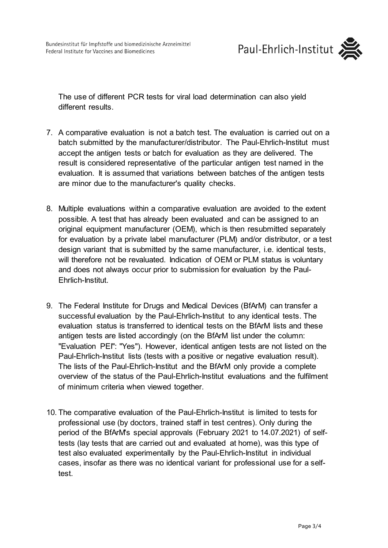

The use of different PCR tests for viral load determination can also yield different results.

- 7. A comparative evaluation is not a batch test. The evaluation is carried out on a batch submitted by the manufacturer/distributor. The Paul-Ehrlich-Institut must accept the antigen tests or batch for evaluation as they are delivered. The result is considered representative of the particular antigen test named in the evaluation. It is assumed that variations between batches of the antigen tests are minor due to the manufacturer's quality checks.
- 8. Multiple evaluations within a comparative evaluation are avoided to the extent possible. A test that has already been evaluated and can be assigned to an original equipment manufacturer (OEM), which is then resubmitted separately for evaluation by a private label manufacturer (PLM) and/or distributor, or a test design variant that is submitted by the same manufacturer, i.e. identical tests, will therefore not be revaluated. Indication of OEM or PLM status is voluntary and does not always occur prior to submission for evaluation by the Paul-Ehrlich-Institut.
- 9. The Federal Institute for Drugs and Medical Devices (BfArM) can transfer a successful evaluation by the Paul-Ehrlich-Institut to any identical tests. The evaluation status is transferred to identical tests on the BfArM lists and these antigen tests are listed accordingly (on the BfArM list under the column: "Evaluation PEI": "Yes"). However, identical antigen tests are not listed on the Paul-Ehrlich-Institut lists (tests with a positive or negative evaluation result). The lists of the Paul-Ehrlich-Institut and the BfArM only provide a complete overview of the status of the Paul-Ehrlich-Institut evaluations and the fulfilment of minimum criteria when viewed together.
- 10. The comparative evaluation of the Paul-Ehrlich-Institut is limited to tests for professional use (by doctors, trained staff in test centres). Only during the period of the BfArM's special approvals (February 2021 to 14.07.2021) of selftests (lay tests that are carried out and evaluated at home), was this type of test also evaluated experimentally by the Paul-Ehrlich-Institut in individual cases, insofar as there was no identical variant for professional use for a selftest.